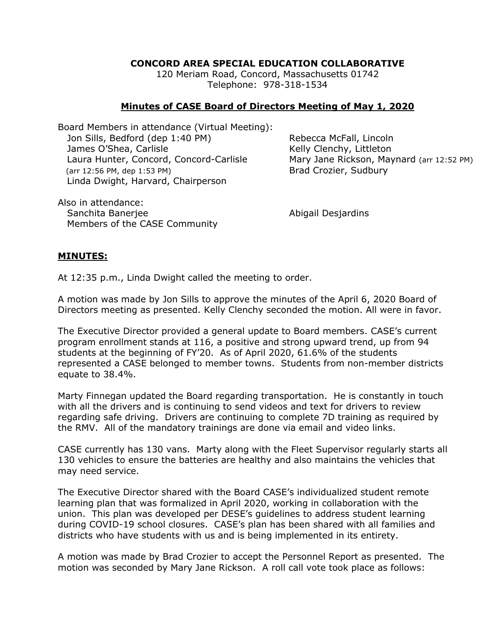## **CONCORD AREA SPECIAL EDUCATION COLLABORATIVE**

120 Meriam Road, Concord, Massachusetts 01742 Telephone: 978-318-1534

## **Minutes of CASE Board of Directors Meeting of May 1, 2020**

Board Members in attendance (Virtual Meeting): Jon Sills, Bedford (dep 1:40 PM) Rebecca McFall, Lincoln James O'Shea, Carlisle **Kelly Clenchy**, Littleton Laura Hunter, Concord, Concord-Carlisle Mary Jane Rickson, Maynard (arr 12:52 PM) (arr 12:56 PM, dep 1:53 PM) Brad Crozier, Sudbury Linda Dwight, Harvard, Chairperson

Also in attendance: Sanchita Baneriee **Abigail Desiardins** Members of the CASE Community

## **MINUTES:**

At 12:35 p.m., Linda Dwight called the meeting to order.

A motion was made by Jon Sills to approve the minutes of the April 6, 2020 Board of Directors meeting as presented. Kelly Clenchy seconded the motion. All were in favor.

The Executive Director provided a general update to Board members. CASE's current program enrollment stands at 116, a positive and strong upward trend, up from 94 students at the beginning of FY'20. As of April 2020, 61.6% of the students represented a CASE belonged to member towns. Students from non-member districts equate to 38.4%.

Marty Finnegan updated the Board regarding transportation. He is constantly in touch with all the drivers and is continuing to send videos and text for drivers to review regarding safe driving. Drivers are continuing to complete 7D training as required by the RMV. All of the mandatory trainings are done via email and video links.

CASE currently has 130 vans. Marty along with the Fleet Supervisor regularly starts all 130 vehicles to ensure the batteries are healthy and also maintains the vehicles that may need service.

The Executive Director shared with the Board CASE's individualized student remote learning plan that was formalized in April 2020, working in collaboration with the union. This plan was developed per DESE's guidelines to address student learning during COVID-19 school closures. CASE's plan has been shared with all families and districts who have students with us and is being implemented in its entirety.

A motion was made by Brad Crozier to accept the Personnel Report as presented. The motion was seconded by Mary Jane Rickson. A roll call vote took place as follows: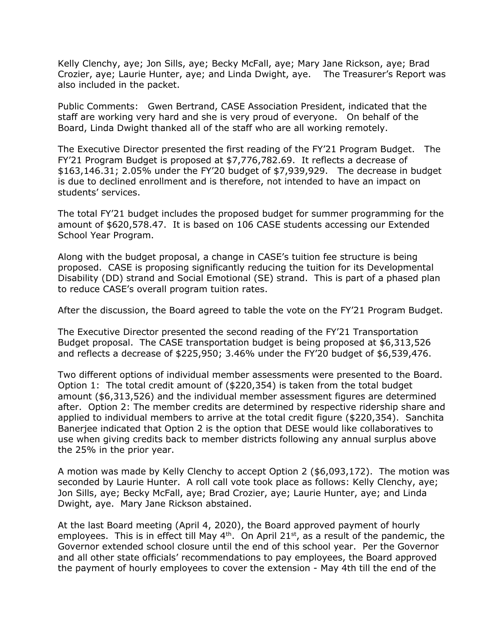Kelly Clenchy, aye; Jon Sills, aye; Becky McFall, aye; Mary Jane Rickson, aye; Brad Crozier, aye; Laurie Hunter, aye; and Linda Dwight, aye. The Treasurer's Report was also included in the packet.

Public Comments: Gwen Bertrand, CASE Association President, indicated that the staff are working very hard and she is very proud of everyone. On behalf of the Board, Linda Dwight thanked all of the staff who are all working remotely.

The Executive Director presented the first reading of the FY'21 Program Budget. The FY'21 Program Budget is proposed at \$7,776,782.69. It reflects a decrease of \$163,146.31; 2.05% under the FY'20 budget of \$7,939,929. The decrease in budget is due to declined enrollment and is therefore, not intended to have an impact on students' services.

The total FY'21 budget includes the proposed budget for summer programming for the amount of \$620,578.47. It is based on 106 CASE students accessing our Extended School Year Program.

Along with the budget proposal, a change in CASE's tuition fee structure is being proposed. CASE is proposing significantly reducing the tuition for its Developmental Disability (DD) strand and Social Emotional (SE) strand. This is part of a phased plan to reduce CASE's overall program tuition rates.

After the discussion, the Board agreed to table the vote on the FY'21 Program Budget.

The Executive Director presented the second reading of the FY'21 Transportation Budget proposal. The CASE transportation budget is being proposed at \$6,313,526 and reflects a decrease of \$225,950; 3.46% under the FY'20 budget of \$6,539,476.

Two different options of individual member assessments were presented to the Board. Option 1: The total credit amount of (\$220,354) is taken from the total budget amount (\$6,313,526) and the individual member assessment figures are determined after. Option 2: The member credits are determined by respective ridership share and applied to individual members to arrive at the total credit figure (\$220,354). Sanchita Banerjee indicated that Option 2 is the option that DESE would like collaboratives to use when giving credits back to member districts following any annual surplus above the 25% in the prior year.

A motion was made by Kelly Clenchy to accept Option 2 (\$6,093,172). The motion was seconded by Laurie Hunter. A roll call vote took place as follows: Kelly Clenchy, aye; Jon Sills, aye; Becky McFall, aye; Brad Crozier, aye; Laurie Hunter, aye; and Linda Dwight, aye. Mary Jane Rickson abstained.

At the last Board meeting (April 4, 2020), the Board approved payment of hourly employees. This is in effect till May  $4<sup>th</sup>$ . On April 21<sup>st</sup>, as a result of the pandemic, the Governor extended school closure until the end of this school year. Per the Governor and all other state officials' recommendations to pay employees, the Board approved the payment of hourly employees to cover the extension - May 4th till the end of the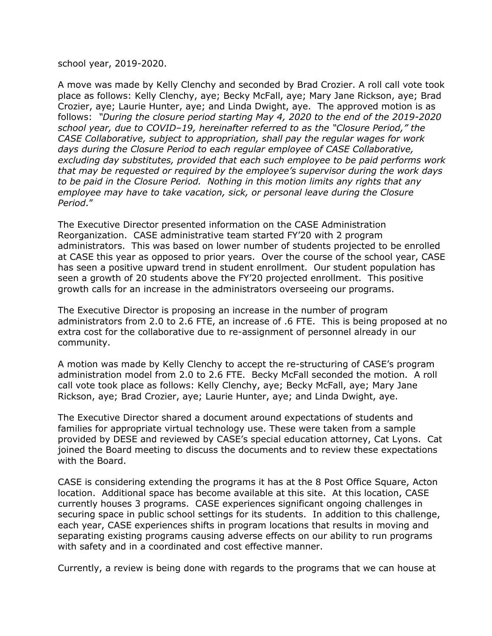school year, 2019-2020.

A move was made by Kelly Clenchy and seconded by Brad Crozier. A roll call vote took place as follows: Kelly Clenchy, aye; Becky McFall, aye; Mary Jane Rickson, aye; Brad Crozier, aye; Laurie Hunter, aye; and Linda Dwight, aye. The approved motion is as follows: *"During the closure period starting May 4, 2020 to the end of the 2019-2020 school year, due to COVID–19, hereinafter referred to as the "Closure Period," the CASE Collaborative, subject to appropriation, shall pay the regular wages for work days during the Closure Period to each regular employee of CASE Collaborative, excluding day substitutes, provided that each such employee to be paid performs work that may be requested or required by the employee's supervisor during the work days to be paid in the Closure Period. Nothing in this motion limits any rights that any employee may have to take vacation, sick, or personal leave during the Closure Period*."

The Executive Director presented information on the CASE Administration Reorganization. CASE administrative team started FY'20 with 2 program administrators. This was based on lower number of students projected to be enrolled at CASE this year as opposed to prior years. Over the course of the school year, CASE has seen a positive upward trend in student enrollment. Our student population has seen a growth of 20 students above the FY'20 projected enrollment. This positive growth calls for an increase in the administrators overseeing our programs.

The Executive Director is proposing an increase in the number of program administrators from 2.0 to 2.6 FTE, an increase of .6 FTE. This is being proposed at no extra cost for the collaborative due to re-assignment of personnel already in our community.

A motion was made by Kelly Clenchy to accept the re-structuring of CASE's program administration model from 2.0 to 2.6 FTE. Becky McFall seconded the motion. A roll call vote took place as follows: Kelly Clenchy, aye; Becky McFall, aye; Mary Jane Rickson, aye; Brad Crozier, aye; Laurie Hunter, aye; and Linda Dwight, aye.

The Executive Director shared a document around expectations of students and families for appropriate virtual technology use. These were taken from a sample provided by DESE and reviewed by CASE's special education attorney, Cat Lyons. Cat joined the Board meeting to discuss the documents and to review these expectations with the Board.

CASE is considering extending the programs it has at the 8 Post Office Square, Acton location. Additional space has become available at this site. At this location, CASE currently houses 3 programs. CASE experiences significant ongoing challenges in securing space in public school settings for its students. In addition to this challenge, each year, CASE experiences shifts in program locations that results in moving and separating existing programs causing adverse effects on our ability to run programs with safety and in a coordinated and cost effective manner.

Currently, a review is being done with regards to the programs that we can house at